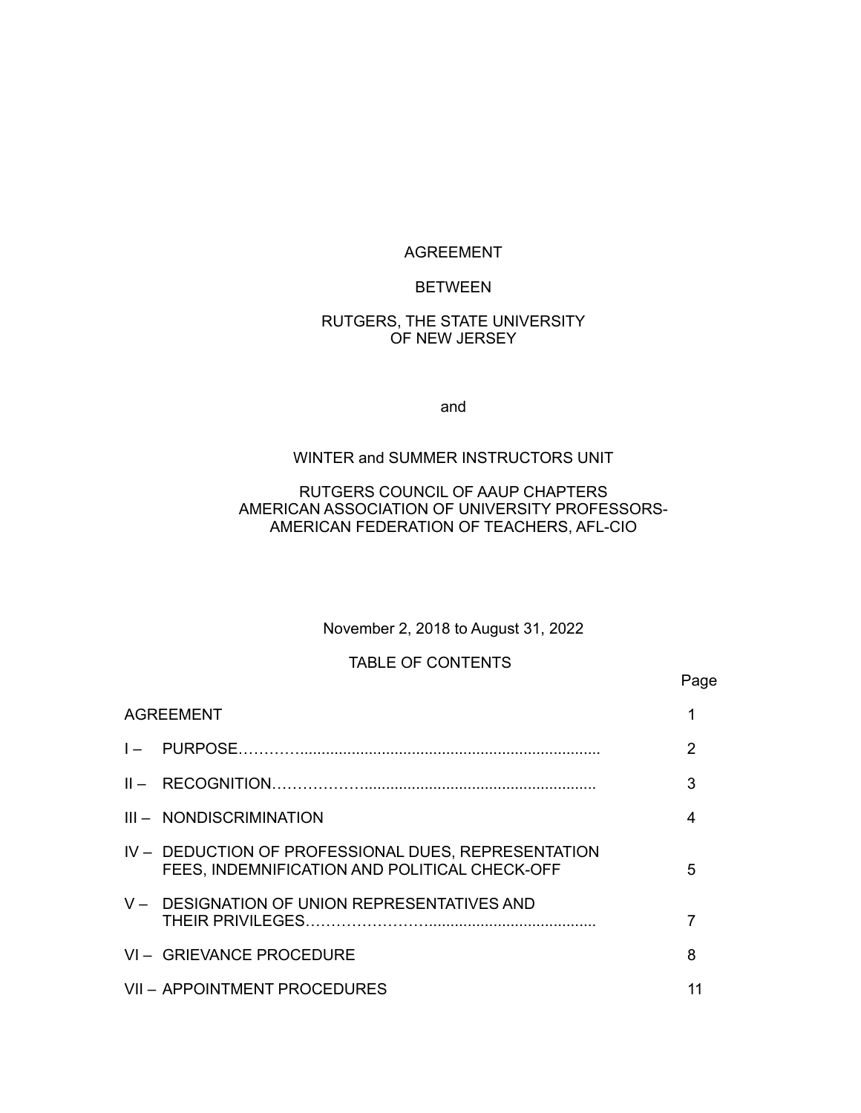#### AGREEMENT

#### BETWEEN

#### RUTGERS, THE STATE UNIVERSITY OF NEW JERSEY

and

#### WINTER and SUMMER INSTRUCTORS UNIT

## RUTGERS COUNCIL OF AAUP CHAPTERS AMERICAN ASSOCIATION OF UNIVERSITY PROFESSORS-AMERICAN FEDERATION OF TEACHERS, AFL-CIO

#### November 2, 2018 to August 31, 2022

Page

#### TABLE OF CONTENTS

# AGREEMENT 1 and 1 and 1 and 1 and 1 and 1 and 1 and 1 and 1 and 1 and 1 and 1 and 1 and 1 and 1 and 1 and 1 and 1 and 1 and 1 and 1 and 1 and 1 and 1 and 1 and 1 and 1 and 1 and 1 and 1 and 1 and 1 and 1 and 1 and 1 and 1 I – PURPOSE…………...................................................................... 2 II – RECOGNITION………………...................................................... 3 III – NONDISCRIMINATION 4 IV – DEDUCTION OF PROFESSIONAL DUES, REPRESENTATION FEES, INDEMNIFICATION AND POLITICAL CHECK-OFF 5 V – DESIGNATION OF UNION REPRESENTATIVES AND THEIR PRIVILEGES……………………....................................... 7 VI – GRIEVANCE PROCEDURE 8 VII – APPOINTMENT PROCEDURES 11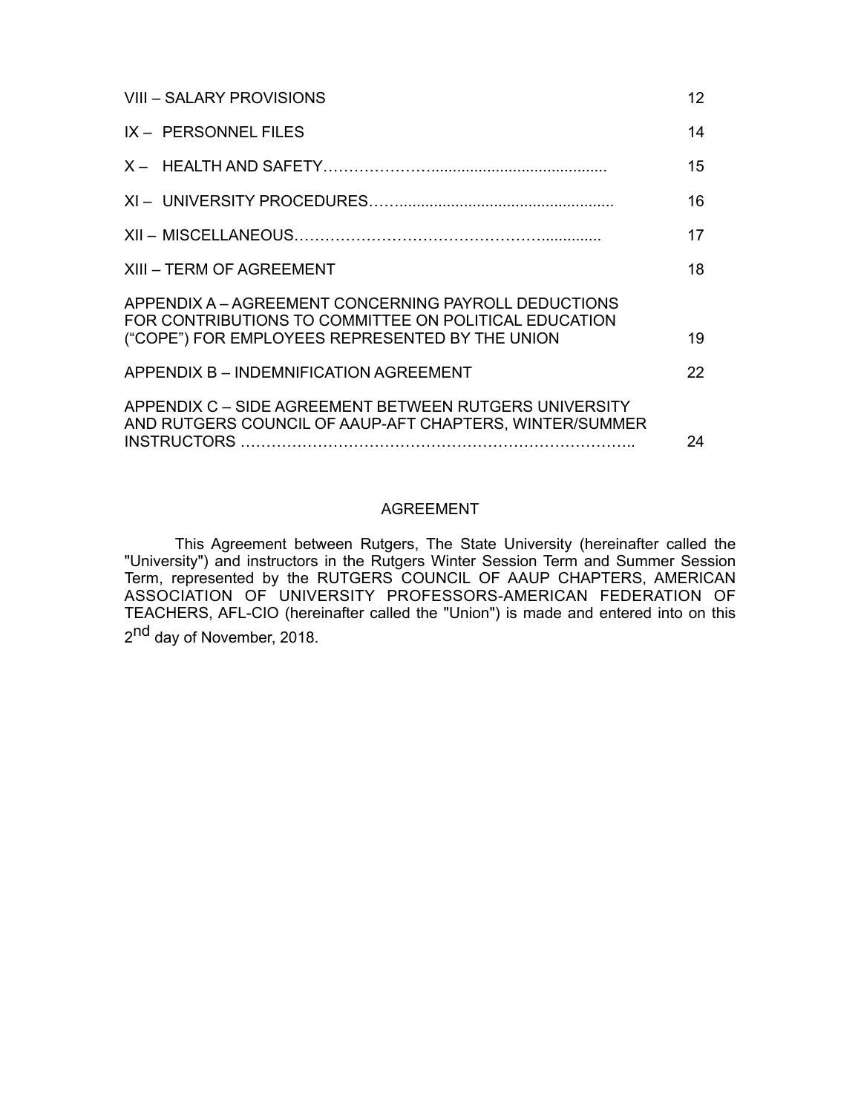| VIII - SALARY PROVISIONS                                                                                                                                         | 12 |
|------------------------------------------------------------------------------------------------------------------------------------------------------------------|----|
| IX - PERSONNEL FILES                                                                                                                                             | 14 |
|                                                                                                                                                                  | 15 |
|                                                                                                                                                                  | 16 |
|                                                                                                                                                                  | 17 |
| XIII – TERM OF AGREEMENT                                                                                                                                         | 18 |
| APPENDIX A – AGREEMENT CONCERNING PAYROLL DEDUCTIONS<br>FOR CONTRIBUTIONS TO COMMITTEE ON POLITICAL EDUCATION<br>("COPE") FOR EMPLOYEES REPRESENTED BY THE UNION | 19 |
| APPENDIX B - INDEMNIFICATION AGREEMENT                                                                                                                           | 22 |
| APPENDIX C - SIDE AGREEMENT BETWEEN RUTGERS UNIVERSITY<br>AND RUTGERS COUNCIL OF AAUP-AFT CHAPTERS, WINTER/SUMMER                                                | 24 |

## AGREEMENT

This Agreement between Rutgers, The State University (hereinafter called the "University") and instructors in the Rutgers Winter Session Term and Summer Session Term, represented by the RUTGERS COUNCIL OF AAUP CHAPTERS, AMERICAN ASSOCIATION OF UNIVERSITY PROFESSORS-AMERICAN FEDERATION OF TEACHERS, AFL-CIO (hereinafter called the "Union") is made and entered into on this 2<sup>nd</sup> day of November, 2018.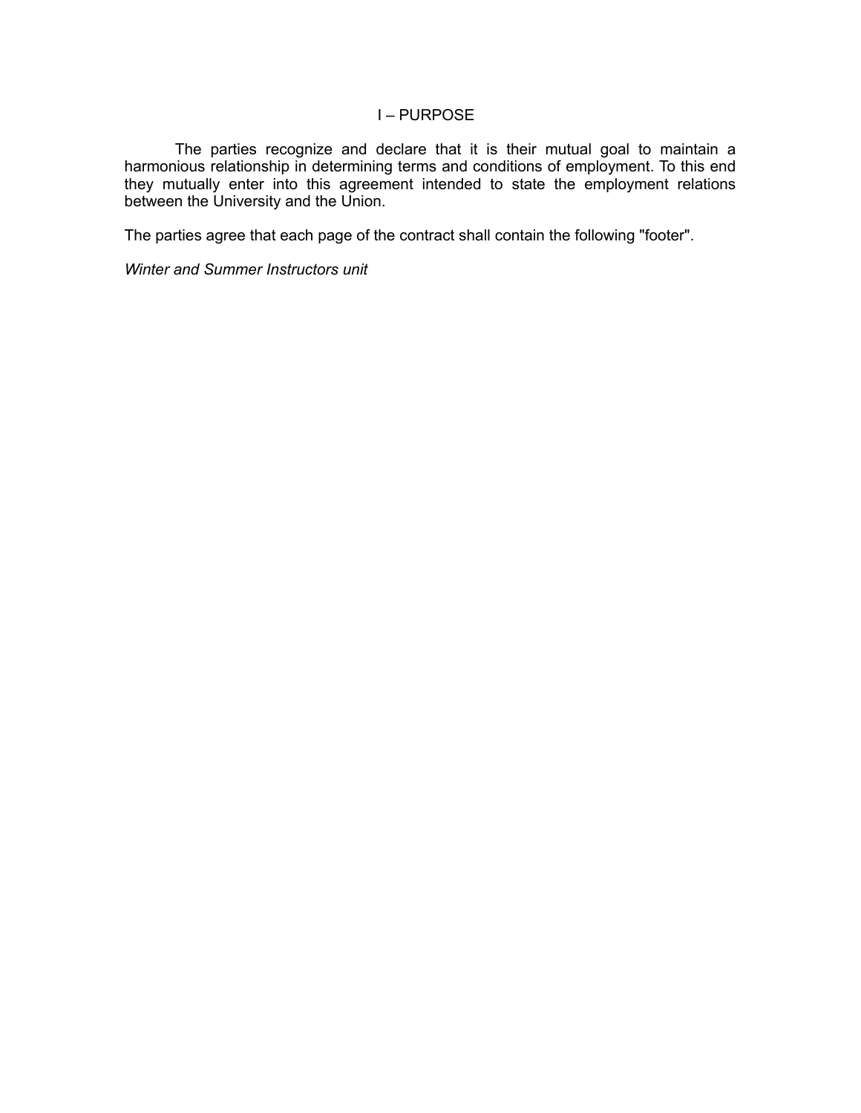#### I – PURPOSE

The parties recognize and declare that it is their mutual goal to maintain a harmonious relationship in determining terms and conditions of employment. To this end they mutually enter into this agreement intended to state the employment relations between the University and the Union.

The parties agree that each page of the contract shall contain the following "footer".

*Winter and Summer Instructors unit*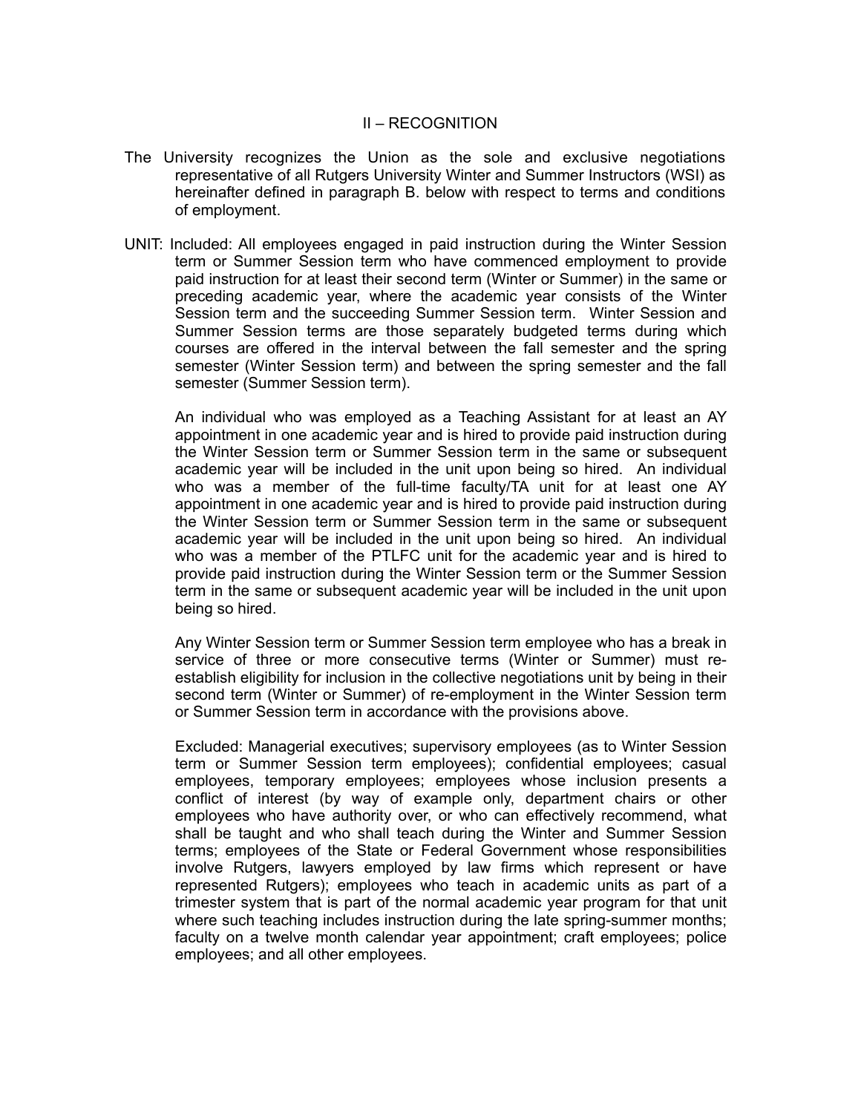#### II – RECOGNITION

- The University recognizes the Union as the sole and exclusive negotiations representative of all Rutgers University Winter and Summer Instructors (WSI) as hereinafter defined in paragraph B. below with respect to terms and conditions of employment.
- UNIT: Included: All employees engaged in paid instruction during the Winter Session term or Summer Session term who have commenced employment to provide paid instruction for at least their second term (Winter or Summer) in the same or preceding academic year, where the academic year consists of the Winter Session term and the succeeding Summer Session term. Winter Session and Summer Session terms are those separately budgeted terms during which courses are offered in the interval between the fall semester and the spring semester (Winter Session term) and between the spring semester and the fall semester (Summer Session term).

An individual who was employed as a Teaching Assistant for at least an AY appointment in one academic year and is hired to provide paid instruction during the Winter Session term or Summer Session term in the same or subsequent academic year will be included in the unit upon being so hired. An individual who was a member of the full-time faculty/TA unit for at least one AY appointment in one academic year and is hired to provide paid instruction during the Winter Session term or Summer Session term in the same or subsequent academic year will be included in the unit upon being so hired. An individual who was a member of the PTLFC unit for the academic year and is hired to provide paid instruction during the Winter Session term or the Summer Session term in the same or subsequent academic year will be included in the unit upon being so hired.

Any Winter Session term or Summer Session term employee who has a break in service of three or more consecutive terms (Winter or Summer) must reestablish eligibility for inclusion in the collective negotiations unit by being in their second term (Winter or Summer) of re-employment in the Winter Session term or Summer Session term in accordance with the provisions above.

Excluded: Managerial executives; supervisory employees (as to Winter Session term or Summer Session term employees); confidential employees; casual employees, temporary employees; employees whose inclusion presents a conflict of interest (by way of example only, department chairs or other employees who have authority over, or who can effectively recommend, what shall be taught and who shall teach during the Winter and Summer Session terms; employees of the State or Federal Government whose responsibilities involve Rutgers, lawyers employed by law firms which represent or have represented Rutgers); employees who teach in academic units as part of a trimester system that is part of the normal academic year program for that unit where such teaching includes instruction during the late spring-summer months; faculty on a twelve month calendar year appointment; craft employees; police employees; and all other employees.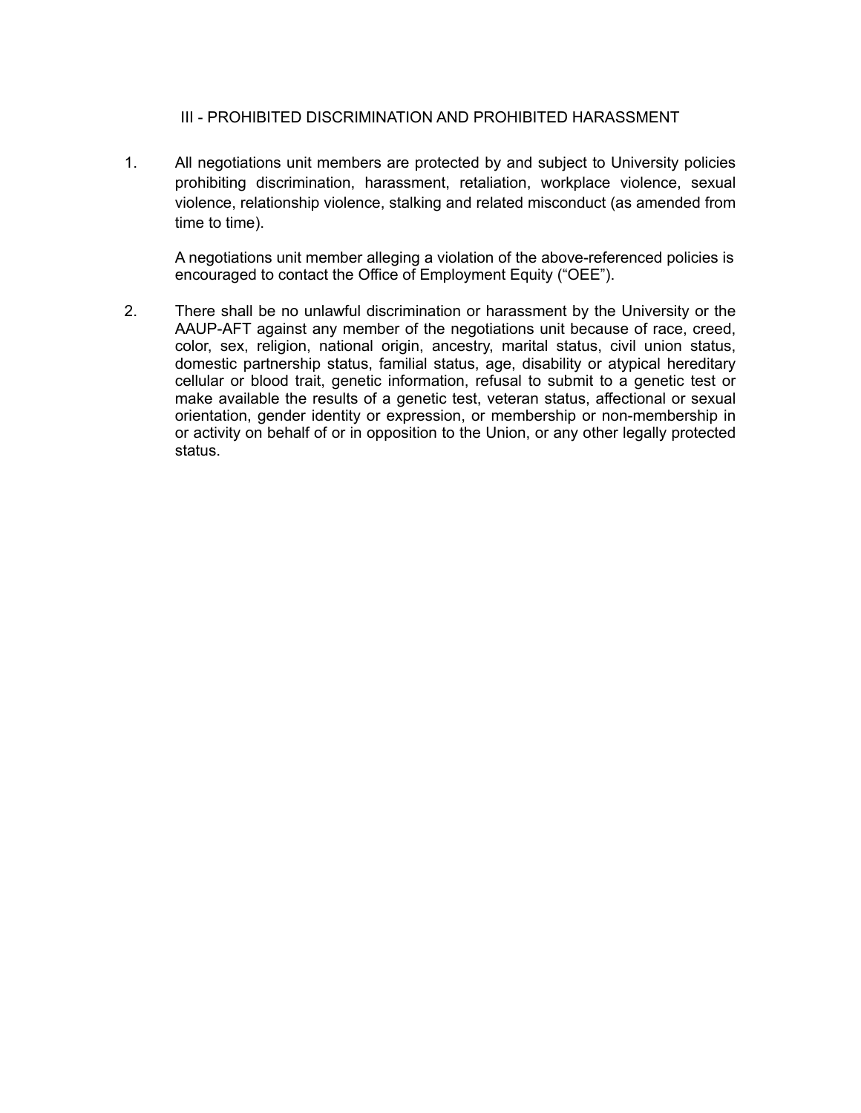# III - PROHIBITED DISCRIMINATION AND PROHIBITED HARASSMENT

1. All negotiations unit members are protected by and subject to University policies prohibiting discrimination, harassment, retaliation, workplace violence, sexual violence, relationship violence, stalking and related misconduct (as amended from time to time).

A negotiations unit member alleging a violation of the above-referenced policies is encouraged to contact the Office of Employment Equity ("OEE").

2. There shall be no unlawful discrimination or harassment by the University or the AAUP-AFT against any member of the negotiations unit because of race, creed, color, sex, religion, national origin, ancestry, marital status, civil union status, domestic partnership status, familial status, age, disability or atypical hereditary cellular or blood trait, genetic information, refusal to submit to a genetic test or make available the results of a genetic test, veteran status, affectional or sexual orientation, gender identity or expression, or membership or non-membership in or activity on behalf of or in opposition to the Union, or any other legally protected status.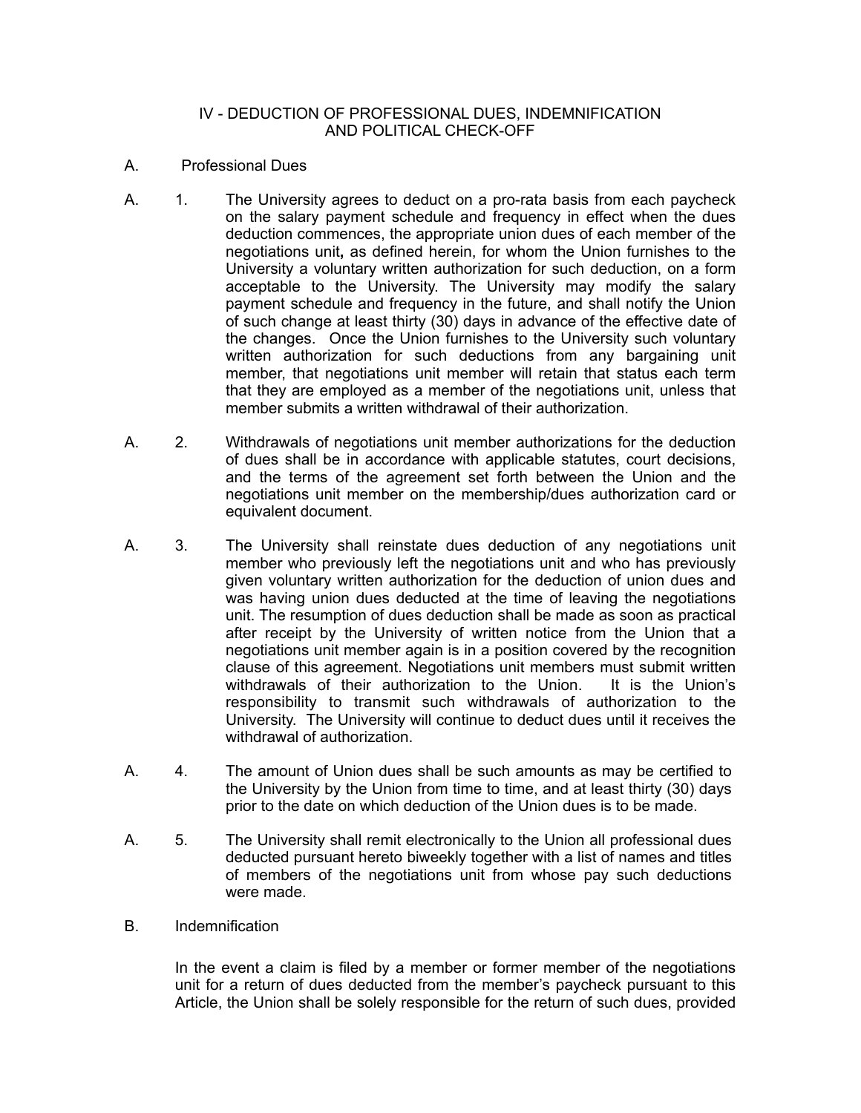#### IV - DEDUCTION OF PROFESSIONAL DUES, INDEMNIFICATION AND POLITICAL CHECK-OFF

- A. Professional Dues
- A. 1. The University agrees to deduct on a pro-rata basis from each paycheck on the salary payment schedule and frequency in effect when the dues deduction commences, the appropriate union dues of each member of the negotiations unit**,** as defined herein, for whom the Union furnishes to the University a voluntary written authorization for such deduction, on a form acceptable to the University. The University may modify the salary payment schedule and frequency in the future, and shall notify the Union of such change at least thirty (30) days in advance of the effective date of the changes. Once the Union furnishes to the University such voluntary written authorization for such deductions from any bargaining unit member, that negotiations unit member will retain that status each term that they are employed as a member of the negotiations unit, unless that member submits a written withdrawal of their authorization.
- A. 2. Withdrawals of negotiations unit member authorizations for the deduction of dues shall be in accordance with applicable statutes, court decisions, and the terms of the agreement set forth between the Union and the negotiations unit member on the membership/dues authorization card or equivalent document.
- A. 3. The University shall reinstate dues deduction of any negotiations unit member who previously left the negotiations unit and who has previously given voluntary written authorization for the deduction of union dues and was having union dues deducted at the time of leaving the negotiations unit. The resumption of dues deduction shall be made as soon as practical after receipt by the University of written notice from the Union that a negotiations unit member again is in a position covered by the recognition clause of this agreement. Negotiations unit members must submit written withdrawals of their authorization to the Union. It is the Union's responsibility to transmit such withdrawals of authorization to the University. The University will continue to deduct dues until it receives the withdrawal of authorization.
- A. 4. The amount of Union dues shall be such amounts as may be certified to the University by the Union from time to time, and at least thirty (30) days prior to the date on which deduction of the Union dues is to be made.
- A. 5. The University shall remit electronically to the Union all professional dues deducted pursuant hereto biweekly together with a list of names and titles of members of the negotiations unit from whose pay such deductions were made.
- B. Indemnification

In the event a claim is filed by a member or former member of the negotiations unit for a return of dues deducted from the member's paycheck pursuant to this Article, the Union shall be solely responsible for the return of such dues, provided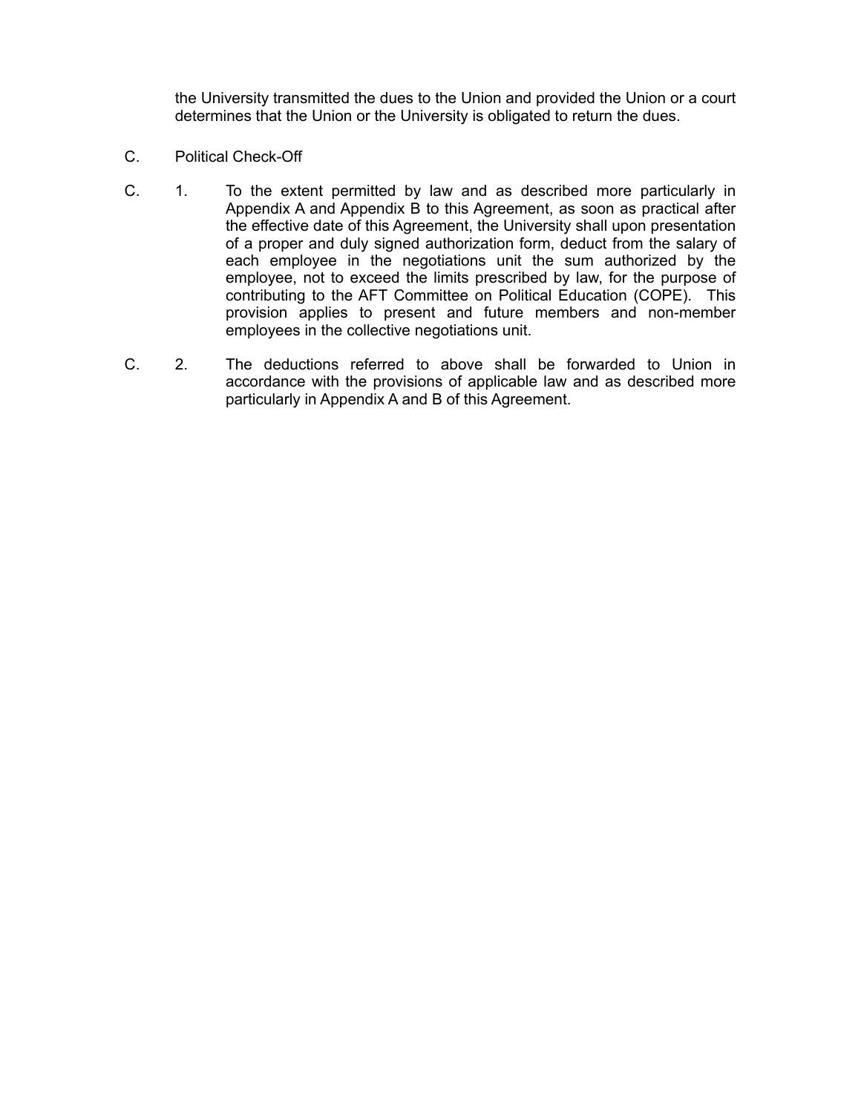the University transmitted the dues to the Union and provided the Union or a court determines that the Union or the University is obligated to return the dues.

- C. Political Check-Off
- C. 1. To the extent permitted by law and as described more particularly in Appendix A and Appendix B to this Agreement, as soon as practical after the effective date of this Agreement, the University shall upon presentation of a proper and duly signed authorization form, deduct from the salary of each employee in the negotiations unit the sum authorized by the employee, not to exceed the limits prescribed by law, for the purpose of contributing to the AFT Committee on Political Education (COPE). This provision applies to present and future members and non-member employees in the collective negotiations unit.
- C. 2. The deductions referred to above shall be forwarded to Union in accordance with the provisions of applicable law and as described more particularly in Appendix A and B of this Agreement.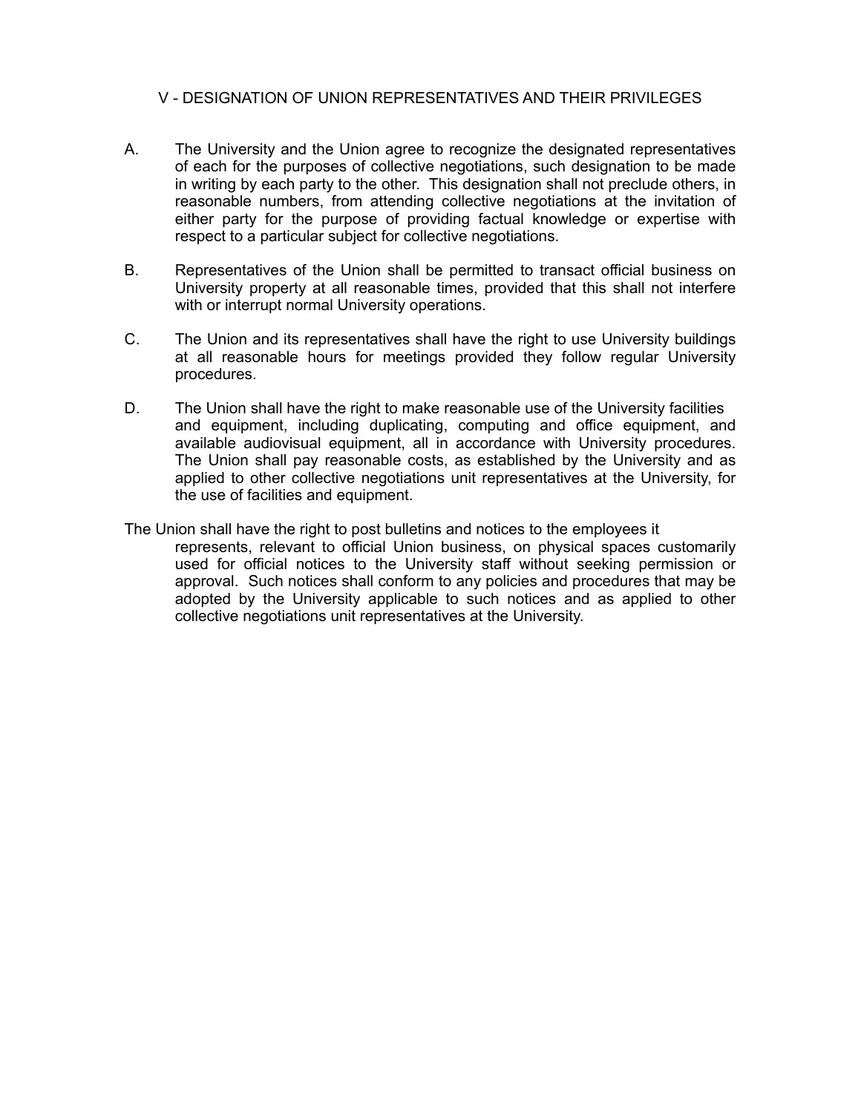## V - DESIGNATION OF UNION REPRESENTATIVES AND THEIR PRIVILEGES

- A. The University and the Union agree to recognize the designated representatives of each for the purposes of collective negotiations, such designation to be made in writing by each party to the other. This designation shall not preclude others, in reasonable numbers, from attending collective negotiations at the invitation of either party for the purpose of providing factual knowledge or expertise with respect to a particular subject for collective negotiations.
- B. Representatives of the Union shall be permitted to transact official business on University property at all reasonable times, provided that this shall not interfere with or interrupt normal University operations.
- C. The Union and its representatives shall have the right to use University buildings at all reasonable hours for meetings provided they follow regular University procedures.
- D. The Union shall have the right to make reasonable use of the University facilities and equipment, including duplicating, computing and office equipment, and available audiovisual equipment, all in accordance with University procedures. The Union shall pay reasonable costs, as established by the University and as applied to other collective negotiations unit representatives at the University, for the use of facilities and equipment.
- The Union shall have the right to post bulletins and notices to the employees it represents, relevant to official Union business, on physical spaces customarily used for official notices to the University staff without seeking permission or approval. Such notices shall conform to any policies and procedures that may be adopted by the University applicable to such notices and as applied to other collective negotiations unit representatives at the University.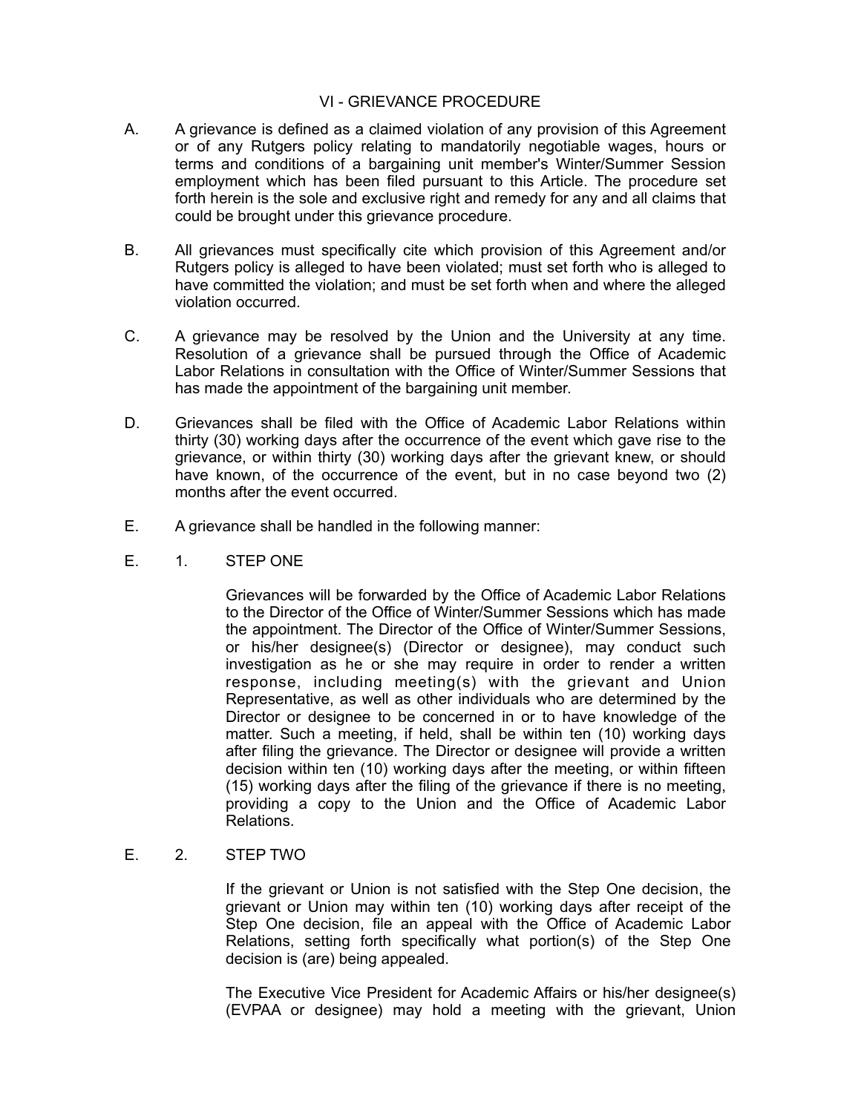#### VI - GRIEVANCE PROCEDURE

- A. A grievance is defined as a claimed violation of any provision of this Agreement or of any Rutgers policy relating to mandatorily negotiable wages, hours or terms and conditions of a bargaining unit member's Winter/Summer Session employment which has been filed pursuant to this Article. The procedure set forth herein is the sole and exclusive right and remedy for any and all claims that could be brought under this grievance procedure.
- B. All grievances must specifically cite which provision of this Agreement and/or Rutgers policy is alleged to have been violated; must set forth who is alleged to have committed the violation; and must be set forth when and where the alleged violation occurred.
- C. A grievance may be resolved by the Union and the University at any time. Resolution of a grievance shall be pursued through the Office of Academic Labor Relations in consultation with the Office of Winter/Summer Sessions that has made the appointment of the bargaining unit member.
- D. Grievances shall be filed with the Office of Academic Labor Relations within thirty (30) working days after the occurrence of the event which gave rise to the grievance, or within thirty (30) working days after the grievant knew, or should have known, of the occurrence of the event, but in no case beyond two (2) months after the event occurred.
- E. A grievance shall be handled in the following manner:
- E. 1. STEP ONE

Grievances will be forwarded by the Office of Academic Labor Relations to the Director of the Office of Winter/Summer Sessions which has made the appointment. The Director of the Office of Winter/Summer Sessions, or his/her designee(s) (Director or designee), may conduct such investigation as he or she may require in order to render a written response, including meeting(s) with the grievant and Union Representative, as well as other individuals who are determined by the Director or designee to be concerned in or to have knowledge of the matter. Such a meeting, if held, shall be within ten (10) working days after filing the grievance. The Director or designee will provide a written decision within ten (10) working days after the meeting, or within fifteen (15) working days after the filing of the grievance if there is no meeting, providing a copy to the Union and the Office of Academic Labor Relations.

E. 2. STEP TWO

If the grievant or Union is not satisfied with the Step One decision, the grievant or Union may within ten (10) working days after receipt of the Step One decision, file an appeal with the Office of Academic Labor Relations, setting forth specifically what portion(s) of the Step One decision is (are) being appealed.

The Executive Vice President for Academic Affairs or his/her designee(s) (EVPAA or designee) may hold a meeting with the grievant, Union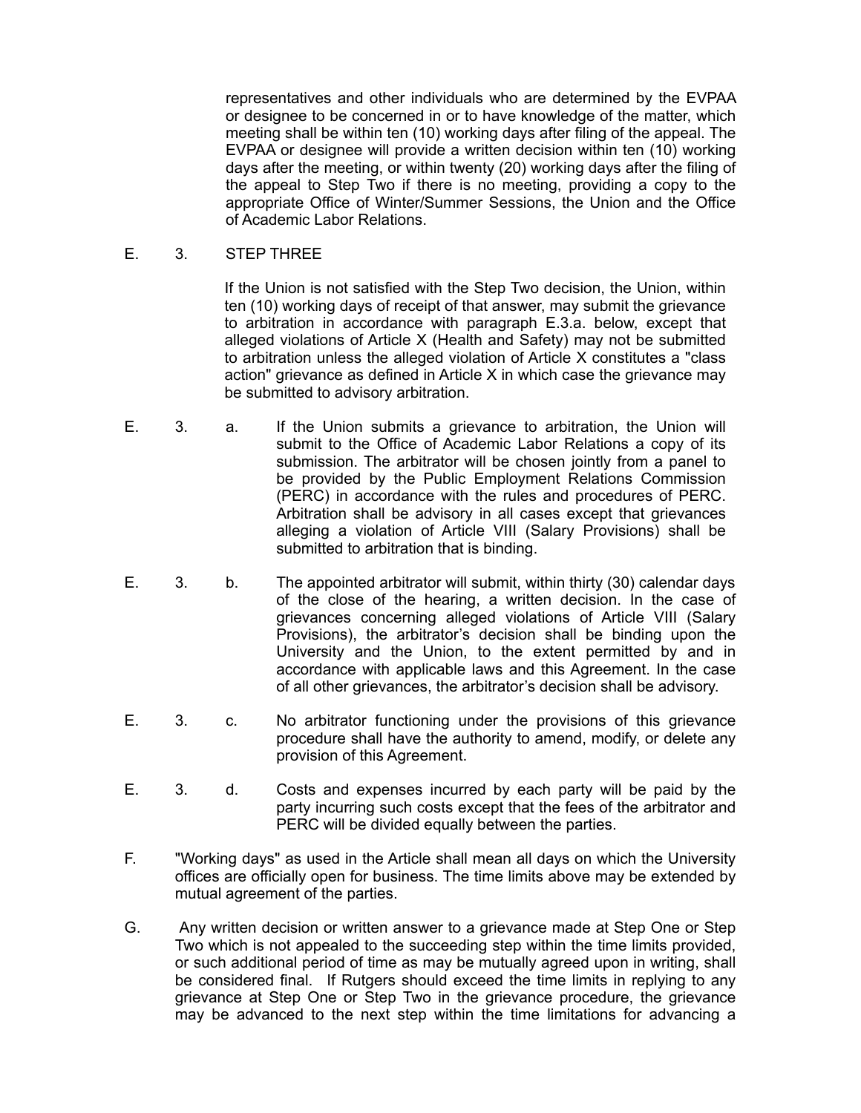representatives and other individuals who are determined by the EVPAA or designee to be concerned in or to have knowledge of the matter, which meeting shall be within ten (10) working days after filing of the appeal. The EVPAA or designee will provide a written decision within ten (10) working days after the meeting, or within twenty (20) working days after the filing of the appeal to Step Two if there is no meeting, providing a copy to the appropriate Office of Winter/Summer Sessions, the Union and the Office of Academic Labor Relations.

E. 3. STEP THREE

If the Union is not satisfied with the Step Two decision, the Union, within ten (10) working days of receipt of that answer, may submit the grievance to arbitration in accordance with paragraph E.3.a. below, except that alleged violations of Article X (Health and Safety) may not be submitted to arbitration unless the alleged violation of Article X constitutes a "class action" grievance as defined in Article X in which case the grievance may be submitted to advisory arbitration.

- E. 3. a. If the Union submits a grievance to arbitration, the Union will submit to the Office of Academic Labor Relations a copy of its submission. The arbitrator will be chosen jointly from a panel to be provided by the Public Employment Relations Commission (PERC) in accordance with the rules and procedures of PERC. Arbitration shall be advisory in all cases except that grievances alleging a violation of Article VIII (Salary Provisions) shall be submitted to arbitration that is binding.
- E. 3. b. The appointed arbitrator will submit, within thirty (30) calendar days of the close of the hearing, a written decision. In the case of grievances concerning alleged violations of Article VIII (Salary Provisions), the arbitrator's decision shall be binding upon the University and the Union, to the extent permitted by and in accordance with applicable laws and this Agreement. In the case of all other grievances, the arbitrator's decision shall be advisory.
- E. 3. c. No arbitrator functioning under the provisions of this grievance procedure shall have the authority to amend, modify, or delete any provision of this Agreement.
- E. 3. d. Costs and expenses incurred by each party will be paid by the party incurring such costs except that the fees of the arbitrator and PERC will be divided equally between the parties.
- F. "Working days" as used in the Article shall mean all days on which the University offices are officially open for business. The time limits above may be extended by mutual agreement of the parties.
- G. Any written decision or written answer to a grievance made at Step One or Step Two which is not appealed to the succeeding step within the time limits provided, or such additional period of time as may be mutually agreed upon in writing, shall be considered final. If Rutgers should exceed the time limits in replying to any grievance at Step One or Step Two in the grievance procedure, the grievance may be advanced to the next step within the time limitations for advancing a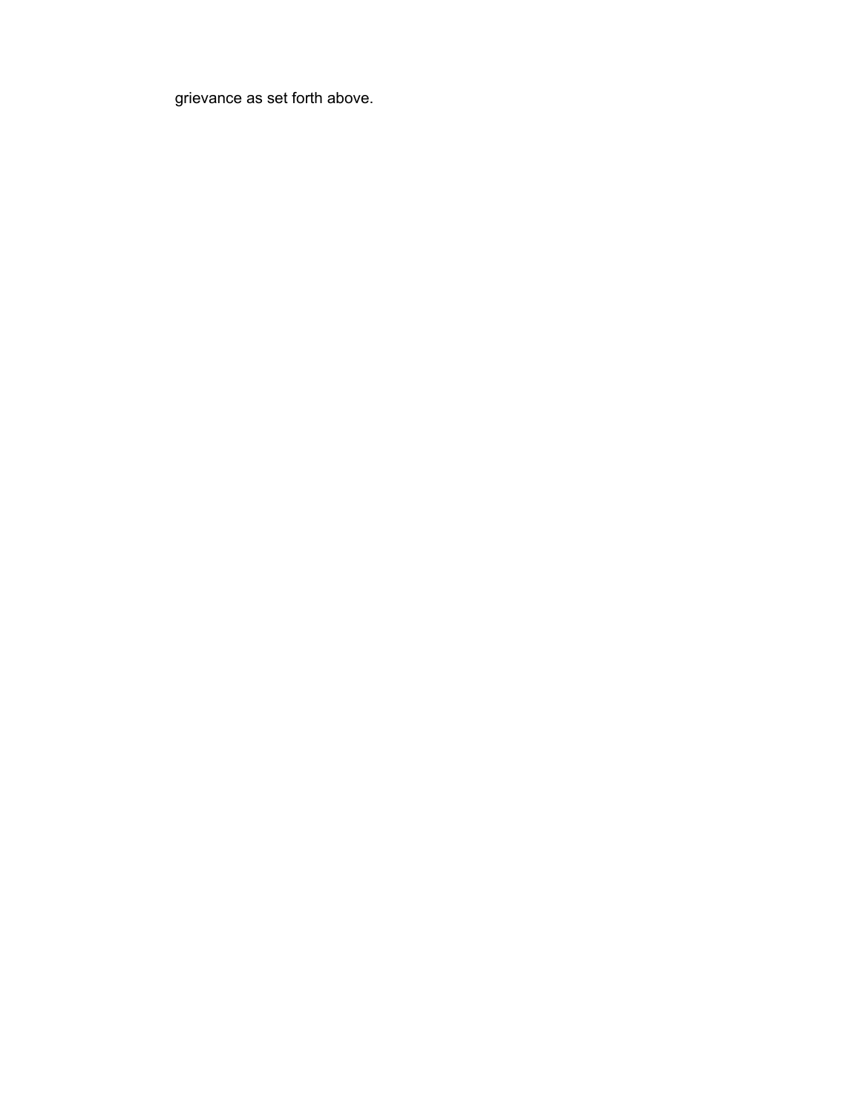grievance as set forth above.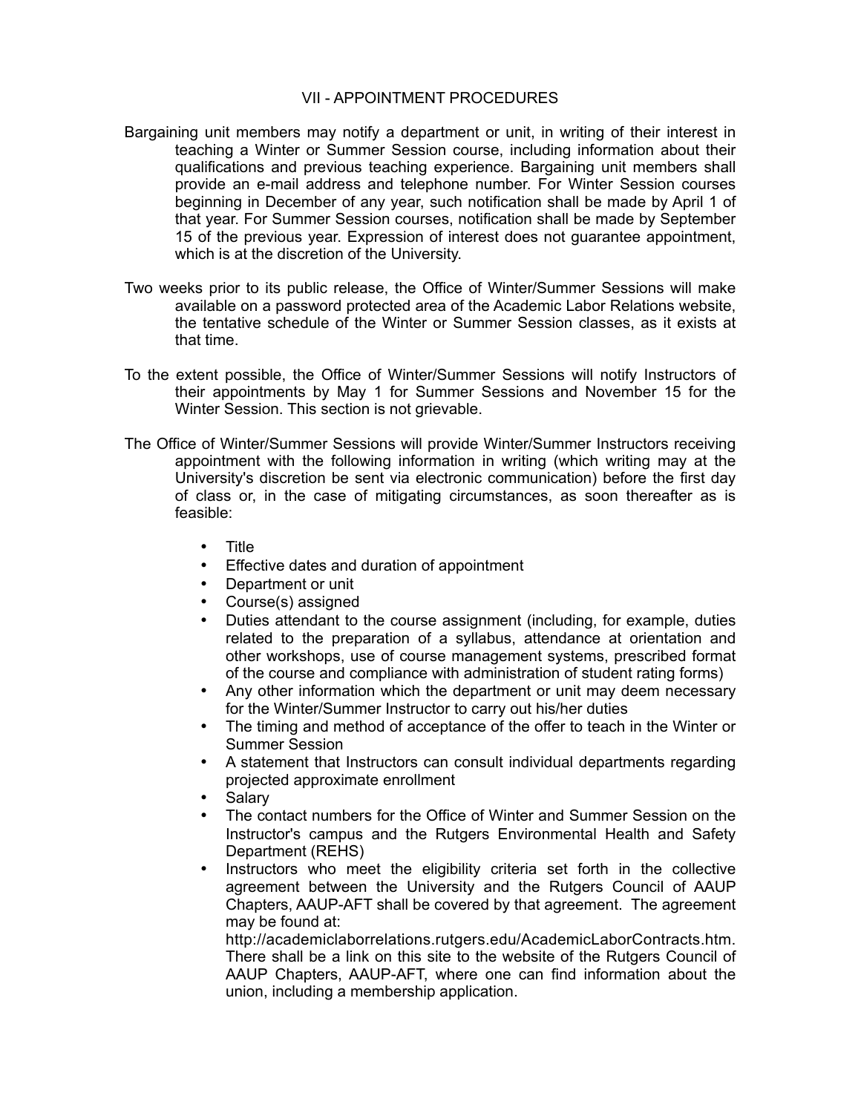#### VII - APPOINTMENT PROCEDURES

- Bargaining unit members may notify a department or unit, in writing of their interest in teaching a Winter or Summer Session course, including information about their qualifications and previous teaching experience. Bargaining unit members shall provide an e-mail address and telephone number. For Winter Session courses beginning in December of any year, such notification shall be made by April 1 of that year. For Summer Session courses, notification shall be made by September 15 of the previous year. Expression of interest does not guarantee appointment, which is at the discretion of the University.
- Two weeks prior to its public release, the Office of Winter/Summer Sessions will make available on a password protected area of the Academic Labor Relations website, the tentative schedule of the Winter or Summer Session classes, as it exists at that time.
- To the extent possible, the Office of Winter/Summer Sessions will notify Instructors of their appointments by May 1 for Summer Sessions and November 15 for the Winter Session. This section is not grievable.
- The Office of Winter/Summer Sessions will provide Winter/Summer Instructors receiving appointment with the following information in writing (which writing may at the University's discretion be sent via electronic communication) before the first day of class or, in the case of mitigating circumstances, as soon thereafter as is feasible:
	- Title
	- Effective dates and duration of appointment
	- Department or unit
	- Course(s) assigned
	- Duties attendant to the course assignment (including, for example, duties related to the preparation of a syllabus, attendance at orientation and other workshops, use of course management systems, prescribed format of the course and compliance with administration of student rating forms)
	- Any other information which the department or unit may deem necessary for the Winter/Summer Instructor to carry out his/her duties
	- The timing and method of acceptance of the offer to teach in the Winter or Summer Session
	- A statement that Instructors can consult individual departments regarding projected approximate enrollment
	- **Salary**
	- The contact numbers for the Office of Winter and Summer Session on the Instructor's campus and the Rutgers Environmental Health and Safety Department (REHS)
	- Instructors who meet the eligibility criteria set forth in the collective agreement between the University and the Rutgers Council of AAUP Chapters, AAUP-AFT shall be covered by that agreement. The agreement may be found at:

http://academiclaborrelations.rutgers.edu/AcademicLaborContracts.htm. There shall be a link on this site to the website of the Rutgers Council of AAUP Chapters, AAUP-AFT, where one can find information about the union, including a membership application.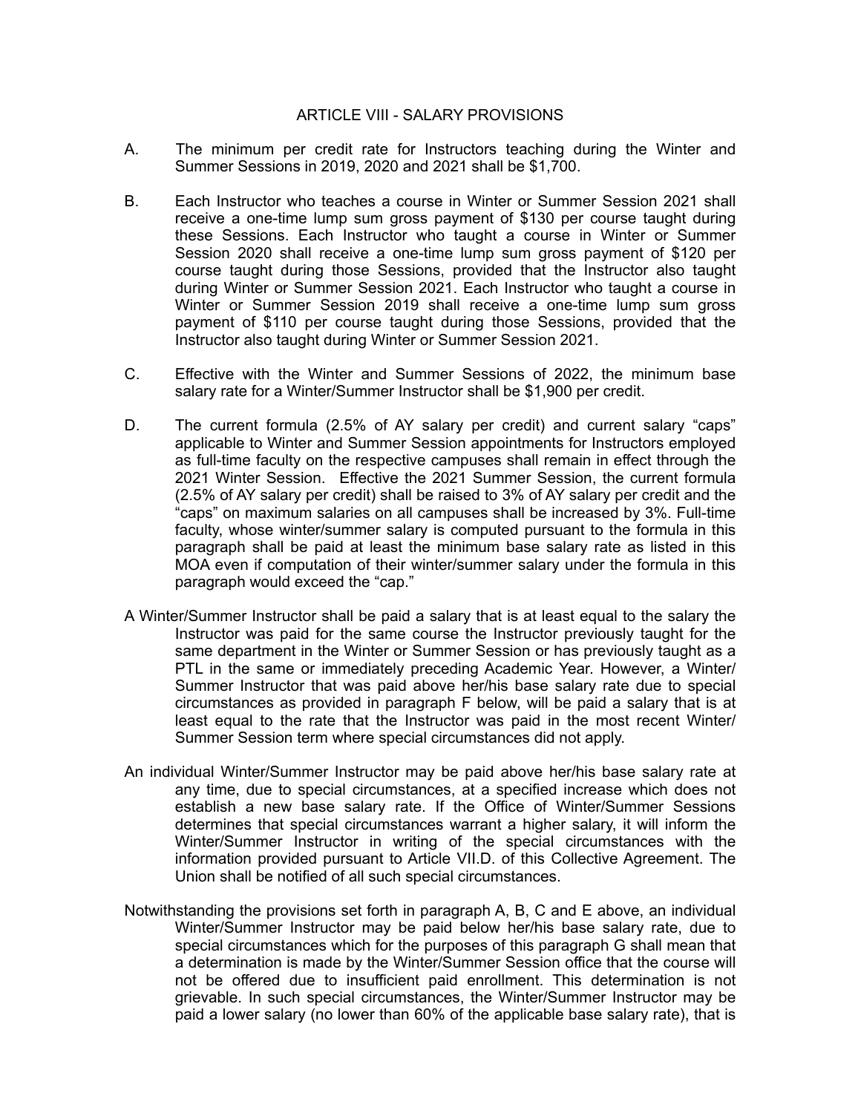#### ARTICLE VIII - SALARY PROVISIONS

- A. The minimum per credit rate for Instructors teaching during the Winter and Summer Sessions in 2019, 2020 and 2021 shall be \$1,700.
- B. Each Instructor who teaches a course in Winter or Summer Session 2021 shall receive a one-time lump sum gross payment of \$130 per course taught during these Sessions. Each Instructor who taught a course in Winter or Summer Session 2020 shall receive a one-time lump sum gross payment of \$120 per course taught during those Sessions, provided that the Instructor also taught during Winter or Summer Session 2021. Each Instructor who taught a course in Winter or Summer Session 2019 shall receive a one-time lump sum gross payment of \$110 per course taught during those Sessions, provided that the Instructor also taught during Winter or Summer Session 2021.
- C. Effective with the Winter and Summer Sessions of 2022, the minimum base salary rate for a Winter/Summer Instructor shall be \$1,900 per credit.
- D. The current formula (2.5% of AY salary per credit) and current salary "caps" applicable to Winter and Summer Session appointments for Instructors employed as full-time faculty on the respective campuses shall remain in effect through the 2021 Winter Session. Effective the 2021 Summer Session, the current formula (2.5% of AY salary per credit) shall be raised to 3% of AY salary per credit and the "caps" on maximum salaries on all campuses shall be increased by 3%. Full-time faculty, whose winter/summer salary is computed pursuant to the formula in this paragraph shall be paid at least the minimum base salary rate as listed in this MOA even if computation of their winter/summer salary under the formula in this paragraph would exceed the "cap."
- A Winter/Summer Instructor shall be paid a salary that is at least equal to the salary the Instructor was paid for the same course the Instructor previously taught for the same department in the Winter or Summer Session or has previously taught as a PTL in the same or immediately preceding Academic Year. However, a Winter/ Summer Instructor that was paid above her/his base salary rate due to special circumstances as provided in paragraph F below, will be paid a salary that is at least equal to the rate that the Instructor was paid in the most recent Winter/ Summer Session term where special circumstances did not apply.
- An individual Winter/Summer Instructor may be paid above her/his base salary rate at any time, due to special circumstances, at a specified increase which does not establish a new base salary rate. If the Office of Winter/Summer Sessions determines that special circumstances warrant a higher salary, it will inform the Winter/Summer Instructor in writing of the special circumstances with the information provided pursuant to Article VII.D. of this Collective Agreement. The Union shall be notified of all such special circumstances.
- Notwithstanding the provisions set forth in paragraph A, B, C and E above, an individual Winter/Summer Instructor may be paid below her/his base salary rate, due to special circumstances which for the purposes of this paragraph G shall mean that a determination is made by the Winter/Summer Session office that the course will not be offered due to insufficient paid enrollment. This determination is not grievable. In such special circumstances, the Winter/Summer Instructor may be paid a lower salary (no lower than 60% of the applicable base salary rate), that is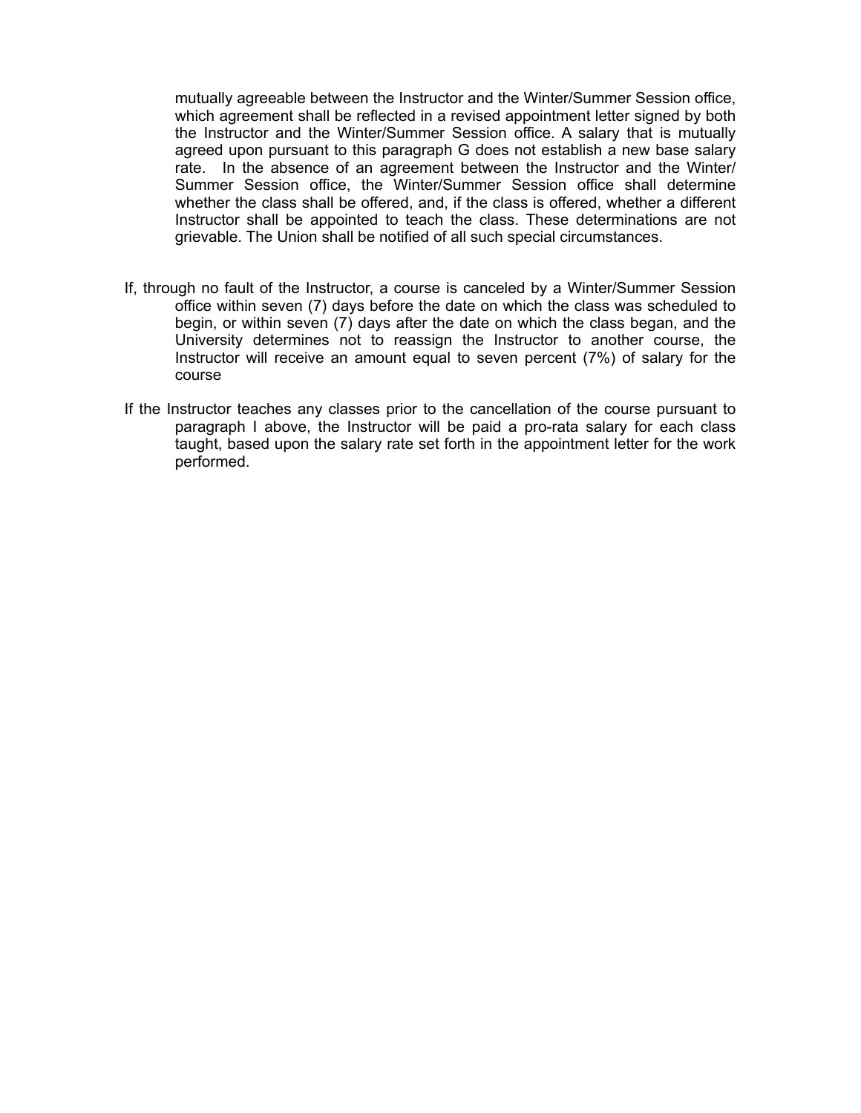mutually agreeable between the Instructor and the Winter/Summer Session office, which agreement shall be reflected in a revised appointment letter signed by both the Instructor and the Winter/Summer Session office. A salary that is mutually agreed upon pursuant to this paragraph G does not establish a new base salary rate. In the absence of an agreement between the Instructor and the Winter/ Summer Session office, the Winter/Summer Session office shall determine whether the class shall be offered, and, if the class is offered, whether a different Instructor shall be appointed to teach the class. These determinations are not grievable. The Union shall be notified of all such special circumstances.

- If, through no fault of the Instructor, a course is canceled by a Winter/Summer Session office within seven (7) days before the date on which the class was scheduled to begin, or within seven (7) days after the date on which the class began, and the University determines not to reassign the Instructor to another course, the Instructor will receive an amount equal to seven percent (7%) of salary for the course
- If the Instructor teaches any classes prior to the cancellation of the course pursuant to paragraph I above, the Instructor will be paid a pro-rata salary for each class taught, based upon the salary rate set forth in the appointment letter for the work performed.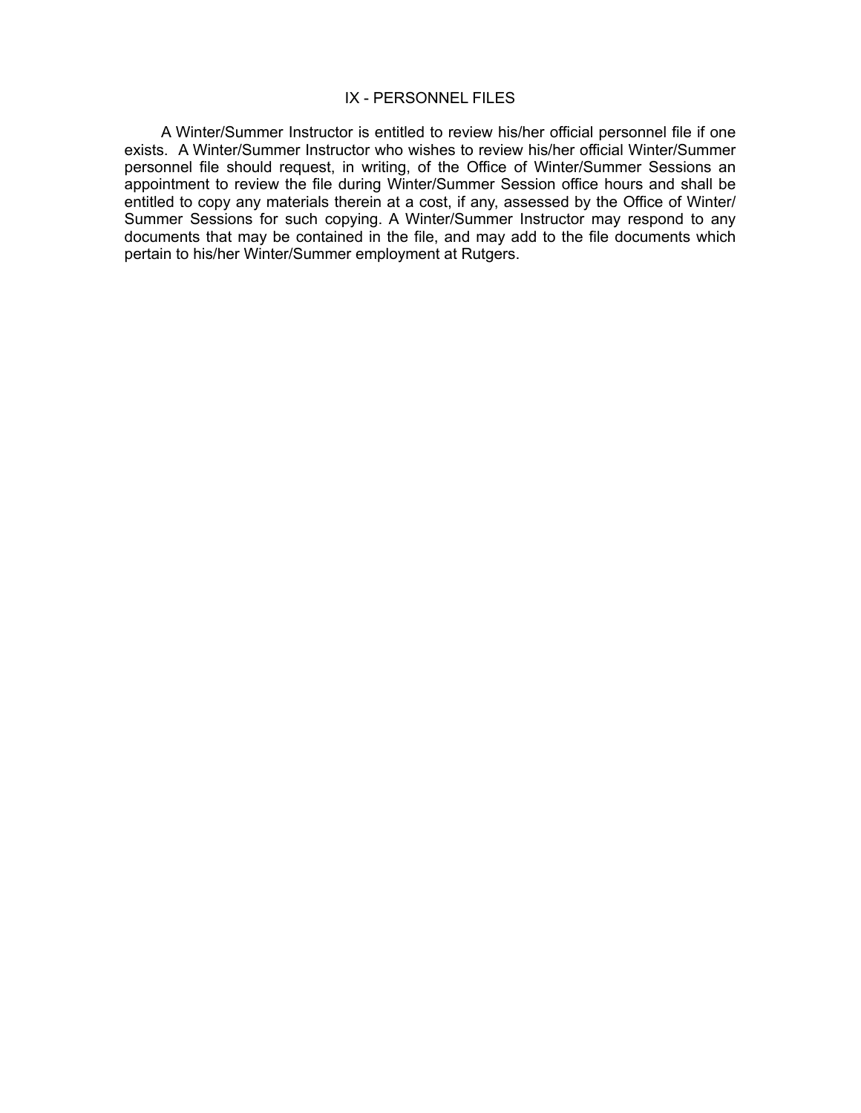#### IX - PERSONNEL FILES

A Winter/Summer Instructor is entitled to review his/her official personnel file if one exists. A Winter/Summer Instructor who wishes to review his/her official Winter/Summer personnel file should request, in writing, of the Office of Winter/Summer Sessions an appointment to review the file during Winter/Summer Session office hours and shall be entitled to copy any materials therein at a cost, if any, assessed by the Office of Winter/ Summer Sessions for such copying. A Winter/Summer Instructor may respond to any documents that may be contained in the file, and may add to the file documents which pertain to his/her Winter/Summer employment at Rutgers.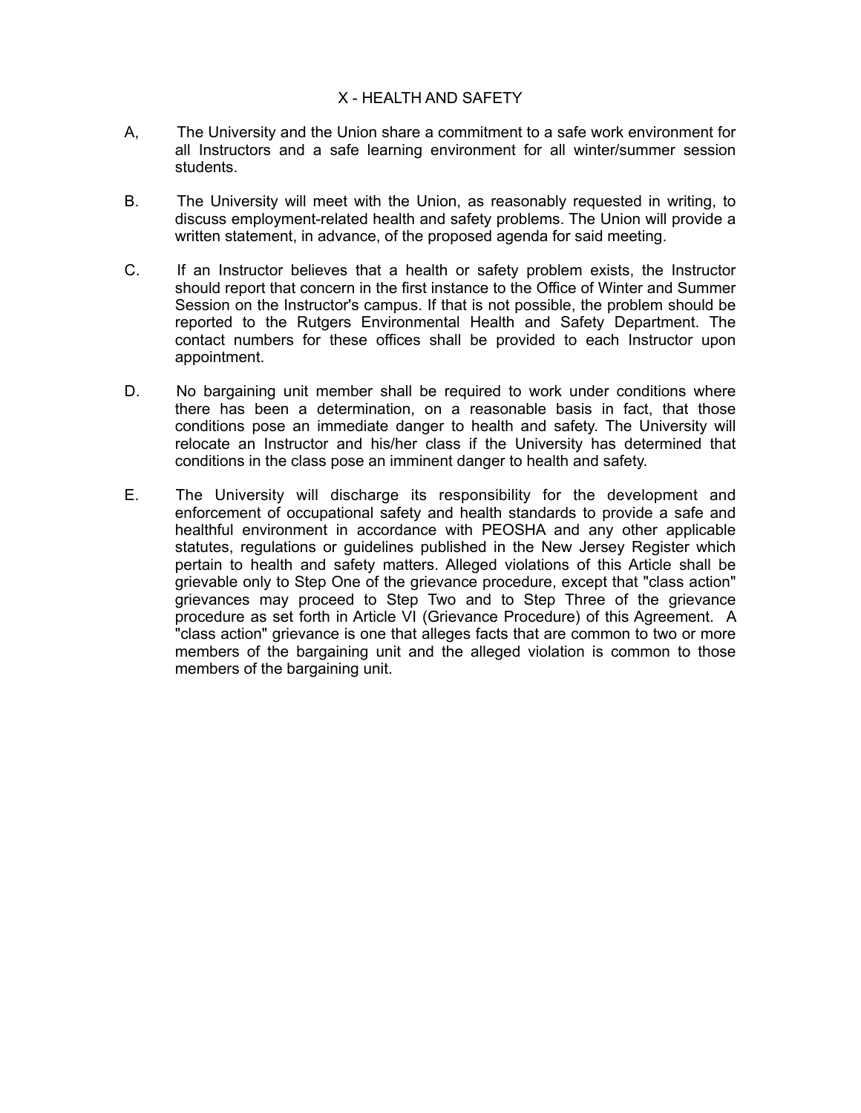# X - HEALTH AND SAFETY

- A, The University and the Union share a commitment to a safe work environment for all Instructors and a safe learning environment for all winter/summer session students.
- B. The University will meet with the Union, as reasonably requested in writing, to discuss employment-related health and safety problems. The Union will provide a written statement, in advance, of the proposed agenda for said meeting.
- C. If an Instructor believes that a health or safety problem exists, the Instructor should report that concern in the first instance to the Office of Winter and Summer Session on the Instructor's campus. If that is not possible, the problem should be reported to the Rutgers Environmental Health and Safety Department. The contact numbers for these offices shall be provided to each Instructor upon appointment.
- D. No bargaining unit member shall be required to work under conditions where there has been a determination, on a reasonable basis in fact, that those conditions pose an immediate danger to health and safety. The University will relocate an Instructor and his/her class if the University has determined that conditions in the class pose an imminent danger to health and safety.
- E. The University will discharge its responsibility for the development and enforcement of occupational safety and health standards to provide a safe and healthful environment in accordance with PEOSHA and any other applicable statutes, regulations or guidelines published in the New Jersey Register which pertain to health and safety matters. Alleged violations of this Article shall be grievable only to Step One of the grievance procedure, except that "class action" grievances may proceed to Step Two and to Step Three of the grievance procedure as set forth in Article VI (Grievance Procedure) of this Agreement. A "class action" grievance is one that alleges facts that are common to two or more members of the bargaining unit and the alleged violation is common to those members of the bargaining unit.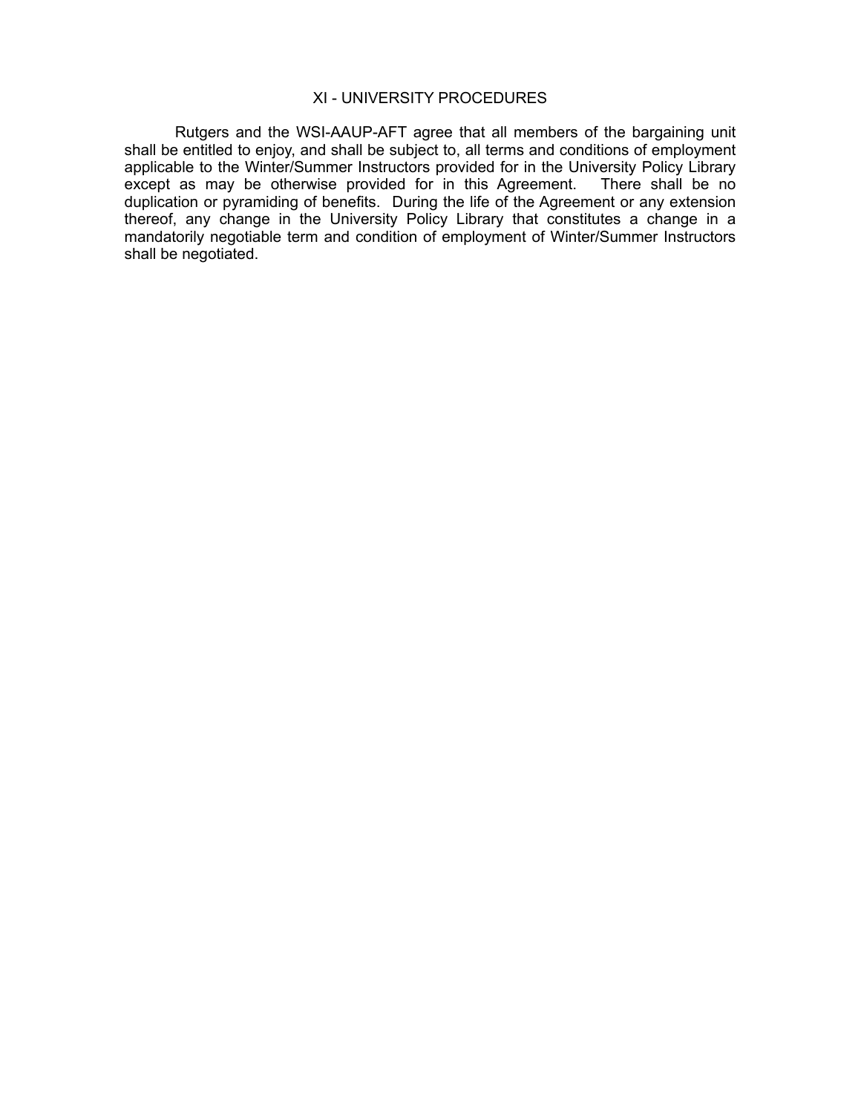#### XI - UNIVERSITY PROCEDURES

Rutgers and the WSI-AAUP-AFT agree that all members of the bargaining unit shall be entitled to enjoy, and shall be subject to, all terms and conditions of employment applicable to the Winter/Summer Instructors provided for in the University Policy Library except as may be otherwise provided for in this Agreement. There shall be no duplication or pyramiding of benefits. During the life of the Agreement or any extension thereof, any change in the University Policy Library that constitutes a change in a mandatorily negotiable term and condition of employment of Winter/Summer Instructors shall be negotiated.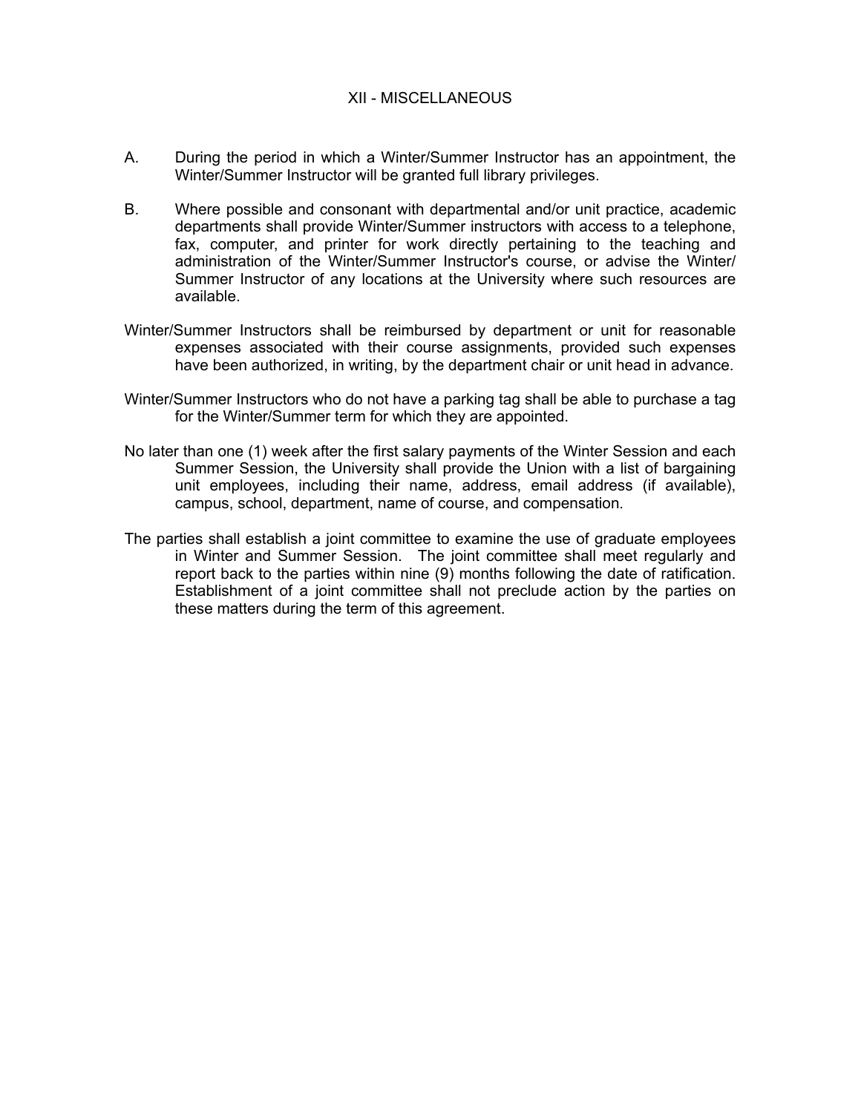# XII - MISCELLANEOUS

- A. During the period in which a Winter/Summer Instructor has an appointment, the Winter/Summer Instructor will be granted full library privileges.
- B. Where possible and consonant with departmental and/or unit practice, academic departments shall provide Winter/Summer instructors with access to a telephone, fax, computer, and printer for work directly pertaining to the teaching and administration of the Winter/Summer Instructor's course, or advise the Winter/ Summer Instructor of any locations at the University where such resources are available.
- Winter/Summer Instructors shall be reimbursed by department or unit for reasonable expenses associated with their course assignments, provided such expenses have been authorized, in writing, by the department chair or unit head in advance.
- Winter/Summer Instructors who do not have a parking tag shall be able to purchase a tag for the Winter/Summer term for which they are appointed.
- No later than one (1) week after the first salary payments of the Winter Session and each Summer Session, the University shall provide the Union with a list of bargaining unit employees, including their name, address, email address (if available), campus, school, department, name of course, and compensation.
- The parties shall establish a joint committee to examine the use of graduate employees in Winter and Summer Session. The joint committee shall meet regularly and report back to the parties within nine (9) months following the date of ratification. Establishment of a joint committee shall not preclude action by the parties on these matters during the term of this agreement.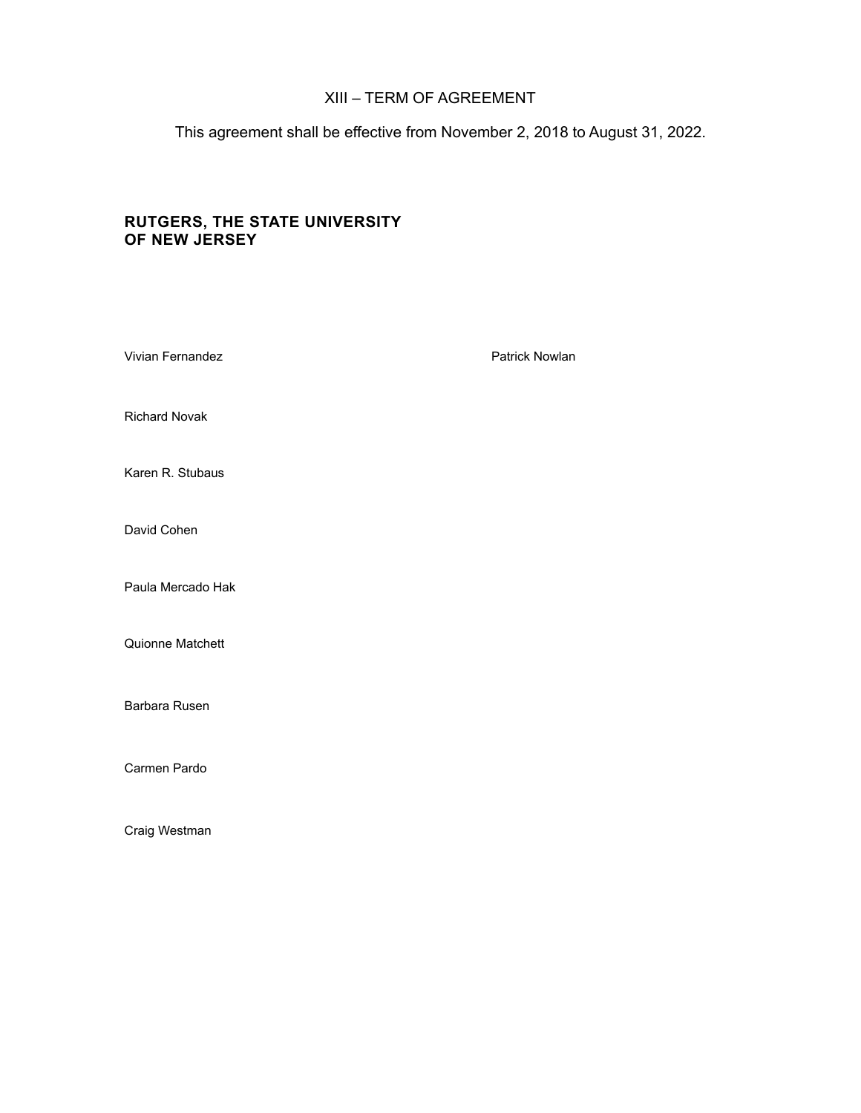# XIII – TERM OF AGREEMENT

This agreement shall be effective from November 2, 2018 to August 31, 2022.

# **RUTGERS, THE STATE UNIVERSITY OF NEW JERSEY**

| Vivian Fernandez     | Patrick Nowlan |
|----------------------|----------------|
| <b>Richard Novak</b> |                |
| Karen R. Stubaus     |                |
| David Cohen          |                |
| Paula Mercado Hak    |                |
| Quionne Matchett     |                |
| Barbara Rusen        |                |
| Carmen Pardo         |                |
| Craig Westman        |                |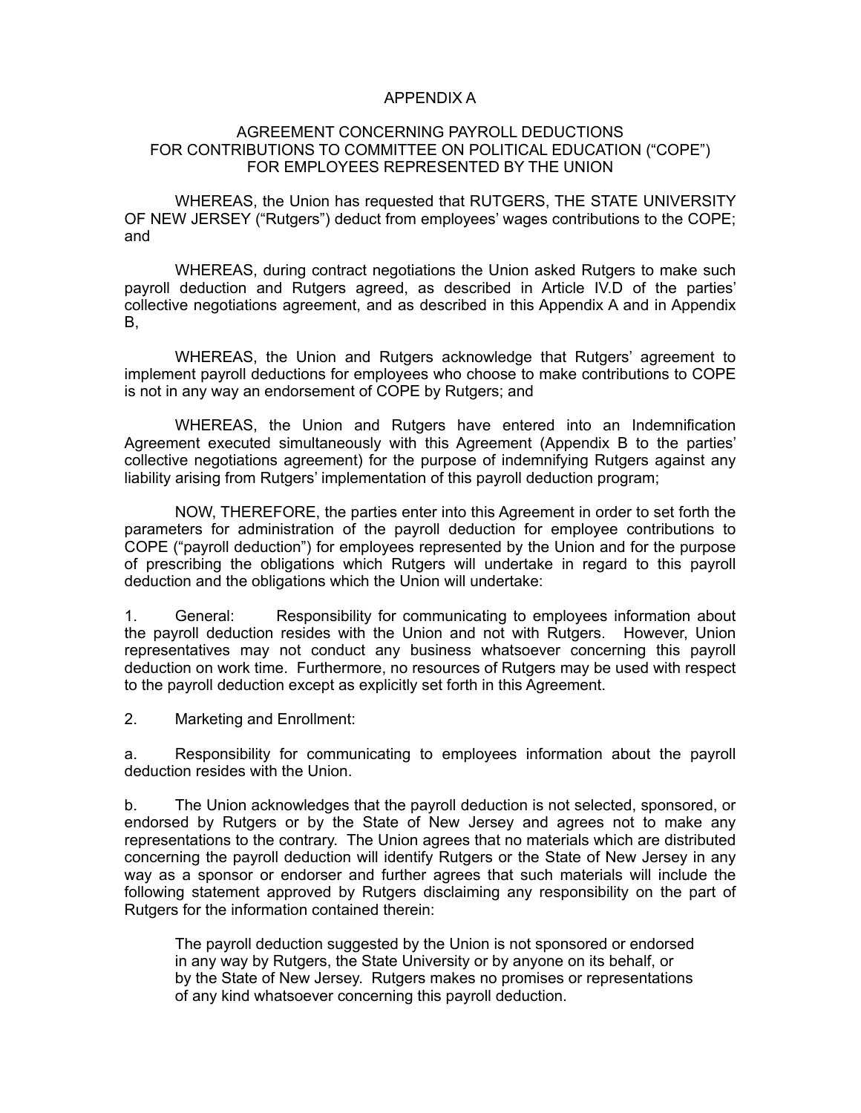## APPENDIX A

#### AGREEMENT CONCERNING PAYROLL DEDUCTIONS FOR CONTRIBUTIONS TO COMMITTEE ON POLITICAL EDUCATION ("COPE") FOR EMPLOYEES REPRESENTED BY THE UNION

WHEREAS, the Union has requested that RUTGERS, THE STATE UNIVERSITY OF NEW JERSEY ("Rutgers") deduct from employees' wages contributions to the COPE; and

WHEREAS, during contract negotiations the Union asked Rutgers to make such payroll deduction and Rutgers agreed, as described in Article IV.D of the parties' collective negotiations agreement, and as described in this Appendix A and in Appendix B,

WHEREAS, the Union and Rutgers acknowledge that Rutgers' agreement to implement payroll deductions for employees who choose to make contributions to COPE is not in any way an endorsement of COPE by Rutgers; and

WHEREAS, the Union and Rutgers have entered into an Indemnification Agreement executed simultaneously with this Agreement (Appendix B to the parties' collective negotiations agreement) for the purpose of indemnifying Rutgers against any liability arising from Rutgers' implementation of this payroll deduction program;

NOW, THEREFORE, the parties enter into this Agreement in order to set forth the parameters for administration of the payroll deduction for employee contributions to COPE ("payroll deduction") for employees represented by the Union and for the purpose of prescribing the obligations which Rutgers will undertake in regard to this payroll deduction and the obligations which the Union will undertake:

1. General: Responsibility for communicating to employees information about the payroll deduction resides with the Union and not with Rutgers. However, Union representatives may not conduct any business whatsoever concerning this payroll deduction on work time. Furthermore, no resources of Rutgers may be used with respect to the payroll deduction except as explicitly set forth in this Agreement.

2. Marketing and Enrollment:

a. Responsibility for communicating to employees information about the payroll deduction resides with the Union.

b. The Union acknowledges that the payroll deduction is not selected, sponsored, or endorsed by Rutgers or by the State of New Jersey and agrees not to make any representations to the contrary. The Union agrees that no materials which are distributed concerning the payroll deduction will identify Rutgers or the State of New Jersey in any way as a sponsor or endorser and further agrees that such materials will include the following statement approved by Rutgers disclaiming any responsibility on the part of Rutgers for the information contained therein:

The payroll deduction suggested by the Union is not sponsored or endorsed in any way by Rutgers, the State University or by anyone on its behalf, or by the State of New Jersey. Rutgers makes no promises or representations of any kind whatsoever concerning this payroll deduction.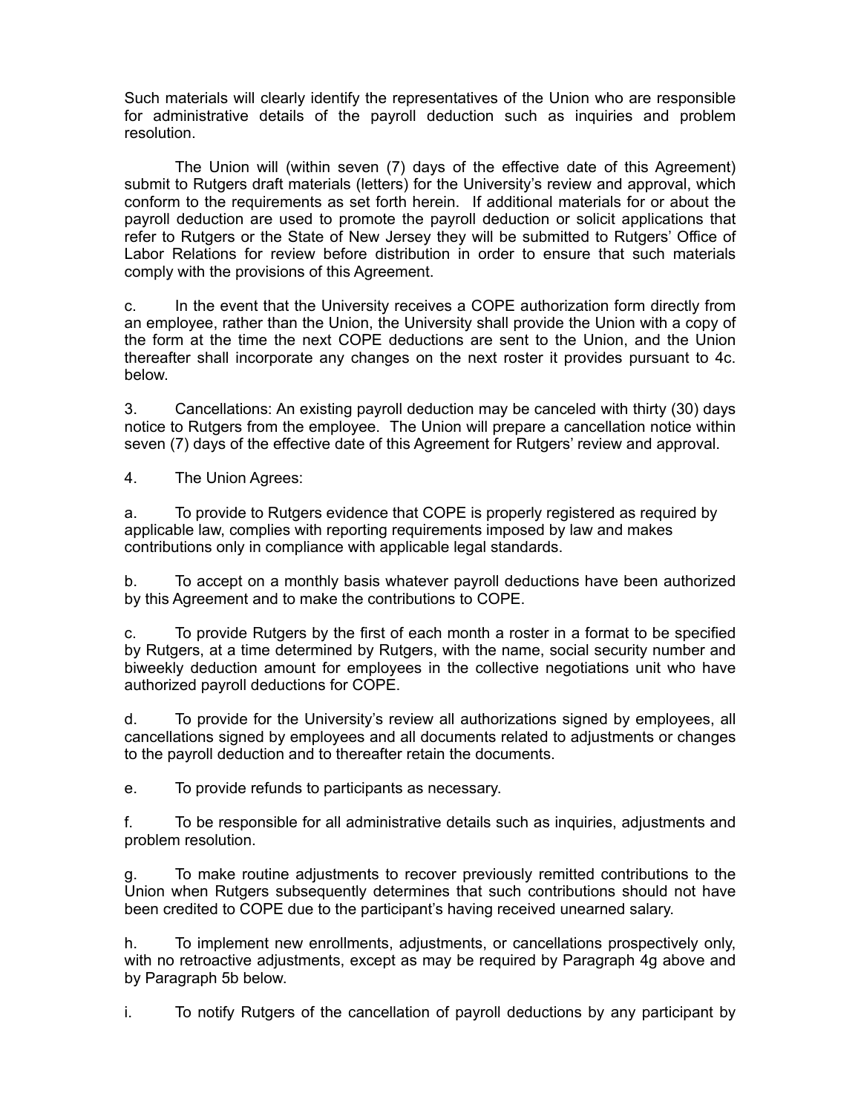Such materials will clearly identify the representatives of the Union who are responsible for administrative details of the payroll deduction such as inquiries and problem resolution.

The Union will (within seven (7) days of the effective date of this Agreement) submit to Rutgers draft materials (letters) for the University's review and approval, which conform to the requirements as set forth herein. If additional materials for or about the payroll deduction are used to promote the payroll deduction or solicit applications that refer to Rutgers or the State of New Jersey they will be submitted to Rutgers' Office of Labor Relations for review before distribution in order to ensure that such materials comply with the provisions of this Agreement.

c. In the event that the University receives a COPE authorization form directly from an employee, rather than the Union, the University shall provide the Union with a copy of the form at the time the next COPE deductions are sent to the Union, and the Union thereafter shall incorporate any changes on the next roster it provides pursuant to 4c. below.

3. Cancellations: An existing payroll deduction may be canceled with thirty (30) days notice to Rutgers from the employee. The Union will prepare a cancellation notice within seven (7) days of the effective date of this Agreement for Rutgers' review and approval.

4. The Union Agrees:

a. To provide to Rutgers evidence that COPE is properly registered as required by applicable law, complies with reporting requirements imposed by law and makes contributions only in compliance with applicable legal standards.

b. To accept on a monthly basis whatever payroll deductions have been authorized by this Agreement and to make the contributions to COPE.

c. To provide Rutgers by the first of each month a roster in a format to be specified by Rutgers, at a time determined by Rutgers, with the name, social security number and biweekly deduction amount for employees in the collective negotiations unit who have authorized payroll deductions for COPE.

d. To provide for the University's review all authorizations signed by employees, all cancellations signed by employees and all documents related to adjustments or changes to the payroll deduction and to thereafter retain the documents.

e. To provide refunds to participants as necessary.

f. To be responsible for all administrative details such as inquiries, adjustments and problem resolution.

g. To make routine adjustments to recover previously remitted contributions to the Union when Rutgers subsequently determines that such contributions should not have been credited to COPE due to the participant's having received unearned salary.

h. To implement new enrollments, adjustments, or cancellations prospectively only, with no retroactive adjustments, except as may be required by Paragraph 4g above and by Paragraph 5b below.

i. To notify Rutgers of the cancellation of payroll deductions by any participant by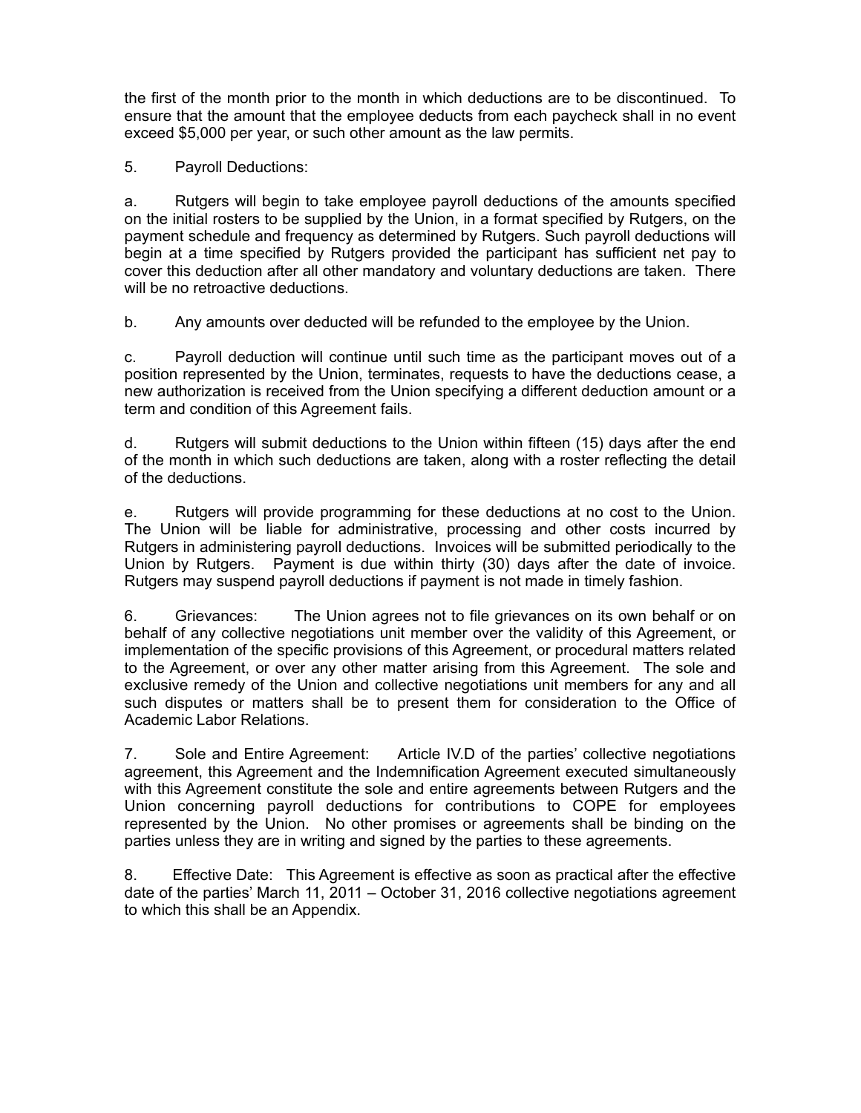the first of the month prior to the month in which deductions are to be discontinued. To ensure that the amount that the employee deducts from each paycheck shall in no event exceed \$5,000 per year, or such other amount as the law permits.

5. Payroll Deductions:

a. Rutgers will begin to take employee payroll deductions of the amounts specified on the initial rosters to be supplied by the Union, in a format specified by Rutgers, on the payment schedule and frequency as determined by Rutgers. Such payroll deductions will begin at a time specified by Rutgers provided the participant has sufficient net pay to cover this deduction after all other mandatory and voluntary deductions are taken. There will be no retroactive deductions.

b. Any amounts over deducted will be refunded to the employee by the Union.

c. Payroll deduction will continue until such time as the participant moves out of a position represented by the Union, terminates, requests to have the deductions cease, a new authorization is received from the Union specifying a different deduction amount or a term and condition of this Agreement fails.

d. Rutgers will submit deductions to the Union within fifteen (15) days after the end of the month in which such deductions are taken, along with a roster reflecting the detail of the deductions.

e. Rutgers will provide programming for these deductions at no cost to the Union. The Union will be liable for administrative, processing and other costs incurred by Rutgers in administering payroll deductions. Invoices will be submitted periodically to the Union by Rutgers. Payment is due within thirty (30) days after the date of invoice. Rutgers may suspend payroll deductions if payment is not made in timely fashion.

6. Grievances: The Union agrees not to file grievances on its own behalf or on behalf of any collective negotiations unit member over the validity of this Agreement, or implementation of the specific provisions of this Agreement, or procedural matters related to the Agreement, or over any other matter arising from this Agreement. The sole and exclusive remedy of the Union and collective negotiations unit members for any and all such disputes or matters shall be to present them for consideration to the Office of Academic Labor Relations.

7. Sole and Entire Agreement: Article IV.D of the parties' collective negotiations agreement, this Agreement and the Indemnification Agreement executed simultaneously with this Agreement constitute the sole and entire agreements between Rutgers and the Union concerning payroll deductions for contributions to COPE for employees represented by the Union. No other promises or agreements shall be binding on the parties unless they are in writing and signed by the parties to these agreements.

8. Effective Date: This Agreement is effective as soon as practical after the effective date of the parties' March 11, 2011 – October 31, 2016 collective negotiations agreement to which this shall be an Appendix.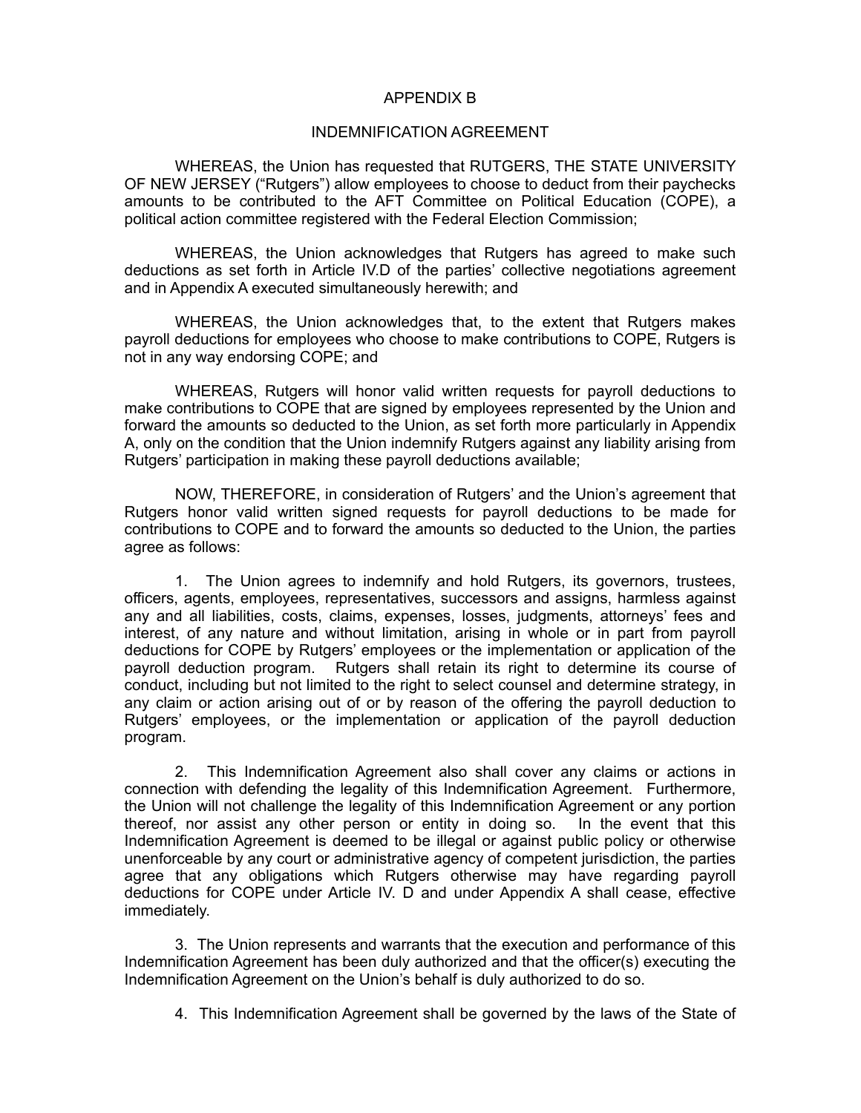#### APPENDIX B

#### INDEMNIFICATION AGREEMENT

WHEREAS, the Union has requested that RUTGERS, THE STATE UNIVERSITY OF NEW JERSEY ("Rutgers") allow employees to choose to deduct from their paychecks amounts to be contributed to the AFT Committee on Political Education (COPE), a political action committee registered with the Federal Election Commission;

WHEREAS, the Union acknowledges that Rutgers has agreed to make such deductions as set forth in Article IV.D of the parties' collective negotiations agreement and in Appendix A executed simultaneously herewith; and

WHEREAS, the Union acknowledges that, to the extent that Rutgers makes payroll deductions for employees who choose to make contributions to COPE, Rutgers is not in any way endorsing COPE; and

WHEREAS, Rutgers will honor valid written requests for payroll deductions to make contributions to COPE that are signed by employees represented by the Union and forward the amounts so deducted to the Union, as set forth more particularly in Appendix A, only on the condition that the Union indemnify Rutgers against any liability arising from Rutgers' participation in making these payroll deductions available;

NOW, THEREFORE, in consideration of Rutgers' and the Union's agreement that Rutgers honor valid written signed requests for payroll deductions to be made for contributions to COPE and to forward the amounts so deducted to the Union, the parties agree as follows:

1. The Union agrees to indemnify and hold Rutgers, its governors, trustees, officers, agents, employees, representatives, successors and assigns, harmless against any and all liabilities, costs, claims, expenses, losses, judgments, attorneys' fees and interest, of any nature and without limitation, arising in whole or in part from payroll deductions for COPE by Rutgers' employees or the implementation or application of the payroll deduction program. Rutgers shall retain its right to determine its course of conduct, including but not limited to the right to select counsel and determine strategy, in any claim or action arising out of or by reason of the offering the payroll deduction to Rutgers' employees, or the implementation or application of the payroll deduction program.

2. This Indemnification Agreement also shall cover any claims or actions in connection with defending the legality of this Indemnification Agreement. Furthermore, the Union will not challenge the legality of this Indemnification Agreement or any portion thereof, nor assist any other person or entity in doing so. In the event that this Indemnification Agreement is deemed to be illegal or against public policy or otherwise unenforceable by any court or administrative agency of competent jurisdiction, the parties agree that any obligations which Rutgers otherwise may have regarding payroll deductions for COPE under Article IV. D and under Appendix A shall cease, effective immediately.

3. The Union represents and warrants that the execution and performance of this Indemnification Agreement has been duly authorized and that the officer(s) executing the Indemnification Agreement on the Union's behalf is duly authorized to do so.

4. This Indemnification Agreement shall be governed by the laws of the State of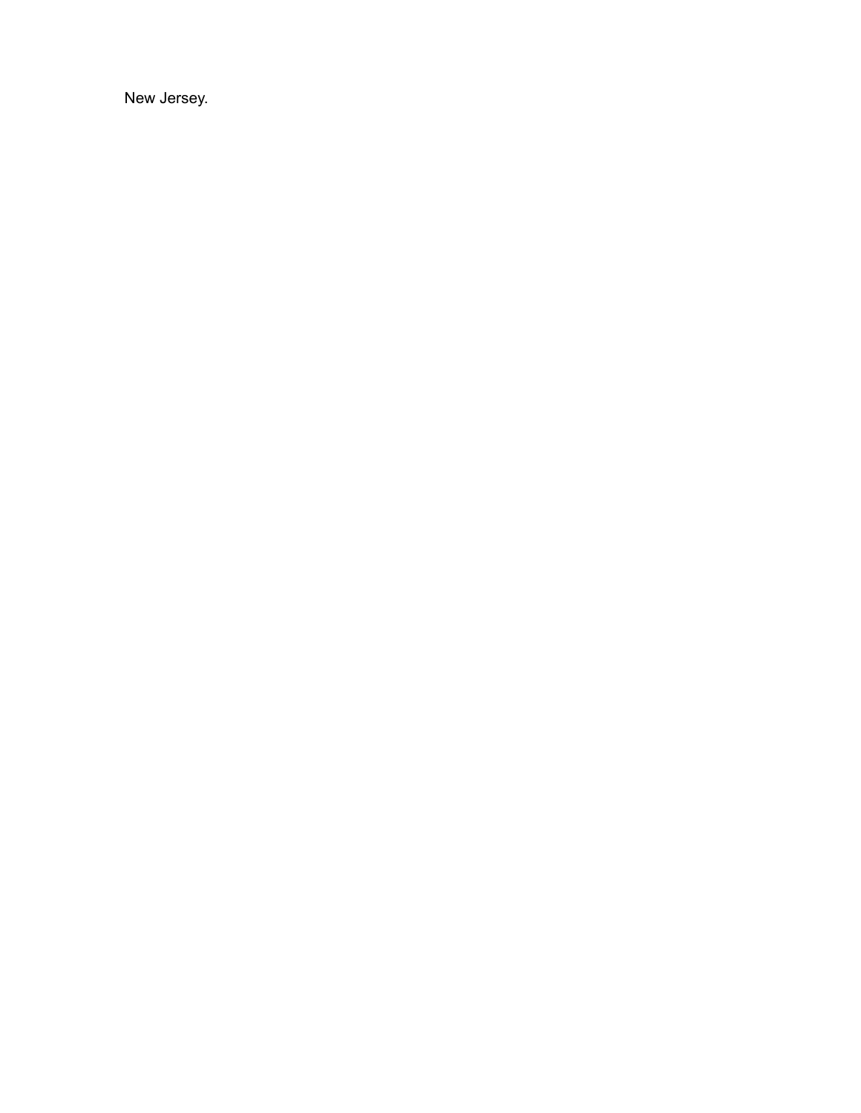New Jersey.